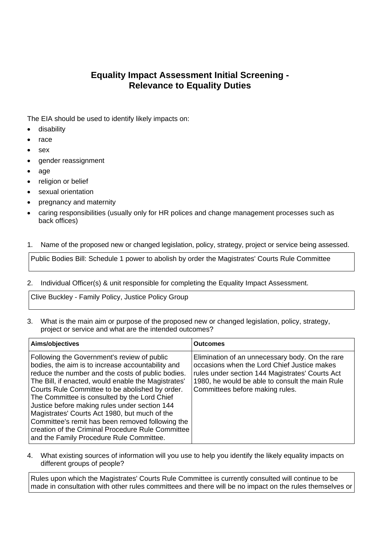## **Equality Impact Assessment Initial Screening - Relevance to Equality Duties**

The EIA should be used to identify likely impacts on:

- **•** disability
- $\bullet$  race
- sex
- gender reassignment
- age
- religion or belief
- sexual orientation
- pregnancy and maternity
- caring responsibilities (usually only for HR polices and change management processes such as back offices)
- 1. Name of the proposed new or changed legislation, policy, strategy, project or service being assessed.

Public Bodies Bill: Schedule 1 power to abolish by order the Magistrates' Courts Rule Committee

2. Individual Officer(s) & unit responsible for completing the Equality Impact Assessment.

Clive Buckley - Family Policy, Justice Policy Group

3. What is the main aim or purpose of the proposed new or changed legislation, policy, strategy, project or service and what are the intended outcomes?

| Aims/objectives                                                                                                                                                                                                                                                                                                                                                                                                                                                                                                                                                        | <b>Outcomes</b>                                                                                                                                                                                                                         |
|------------------------------------------------------------------------------------------------------------------------------------------------------------------------------------------------------------------------------------------------------------------------------------------------------------------------------------------------------------------------------------------------------------------------------------------------------------------------------------------------------------------------------------------------------------------------|-----------------------------------------------------------------------------------------------------------------------------------------------------------------------------------------------------------------------------------------|
| Following the Government's review of public<br>bodies, the aim is to increase accountability and<br>reduce the number and the costs of public bodies.<br>The Bill, if enacted, would enable the Magistrates'<br>Courts Rule Committee to be abolished by order.<br>The Committee is consulted by the Lord Chief<br>Justice before making rules under section 144<br>Magistrates' Courts Act 1980, but much of the<br>Committee's remit has been removed following the<br>creation of the Criminal Procedure Rule Committee<br>and the Family Procedure Rule Committee. | Elimination of an unnecessary body. On the rare<br>occasions when the Lord Chief Justice makes<br>rules under section 144 Magistrates' Courts Act<br>1980, he would be able to consult the main Rule<br>Committees before making rules. |

4. What existing sources of information will you use to help you identify the likely equality impacts on different groups of people?

Rules upon which the Magistrates' Courts Rule Committee is currently consulted will continue to be made in consultation with other rules committees and there will be no impact on the rules themselves or